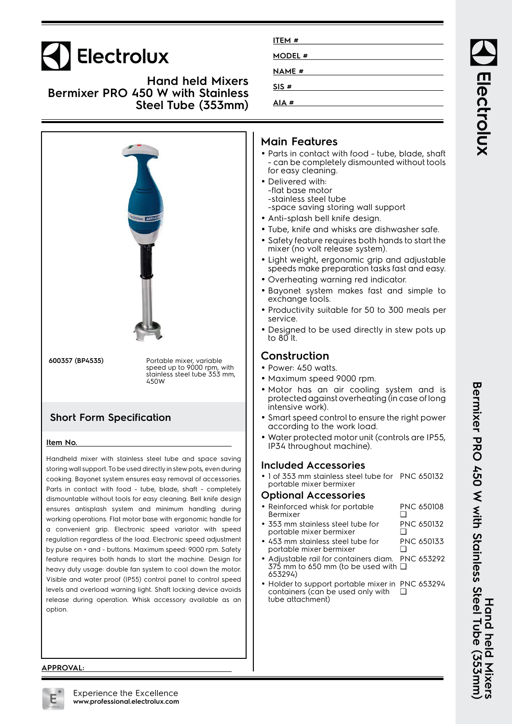# **Electrolux**

**Hand held Mixers Bermixer PRO 450 W with Stainless Steel Tube (353mm)**



Parts in contact with food - tube, blade, shaft - completely dismountable without tools for easy cleaning. Bell knife design ensures antisplash system and minimum handling during working operations. Flat motor base with ergonomic handle for a convenient grip. Electronic speed variator with speed regulation regardless of the load. Electronic speed adjustment by pulse on + and - buttons. Maximum speed: 9000 rpm. Safety feature requires both hands to start the machine. Design for heavy duty usage: double fan system to cool down the motor. Visible and water proof (IP55) control panel to control speed levels and overload warning light. Shaft locking device avoids release during operation. Whisk accessory available as an option.

| ITEM #       |  |
|--------------|--|
| MODEL #      |  |
| <b>NAME#</b> |  |
| SIS#         |  |
| AIA#         |  |

### **Main Features**

- Parts in contact with food tube, blade, shaft - can be completely dismounted without tools for easy cleaning.
- Delivered with: -flat base motor -stainless steel tube -space saving storing wall support
- Anti-splash bell knife design.
- Tube, knife and whisks are dishwasher safe.
- • Safety feature requires both hands to start the mixer (no volt release system).
- Light weight, ergonomic grip and adjustable speeds make preparation tasks fast and easy.
- Overheating warning red indicator.
- Bayonet system makes fast and simple to exchange tools.
- Productivity suitable for 50 to 300 meals per service.
- Designed to be used directly in stew pots up to 80 lt.

### **Construction**

- Power: 450 watts.
- Maximum speed 9000 rpm.
- • Motor has an air cooling system and is protected against overheating (in case of long intensive work).
- Smart speed control to ensure the right power according to the work load.
- Water protected motor unit (controls are IP55, IP34 throughout machine).

#### **Included Accessories**

• 1 of 353 mm stainless steel tube for PNC 650132 portable mixer bermixer

#### **Optional Accessories**

| • Reinforced whisk for portable<br>Bermixer                          | <b>PNC 650108</b>      |
|----------------------------------------------------------------------|------------------------|
| $\bullet$ 353 mm stainless steel tube for<br>portable mixer bermixer | <b>PNC 650132</b><br>□ |

- • 453 mm stainless steel tube for portable mixer bermixer PNC 650133 ❑
- • Adjustable rail for containers diam. PNC 653292 375 mm to 650 mm (to be used with ❑ 653294)
- •• Holder to support portable mixer in PNC 653294 containers (can be used only with tube attachment) ❑

Bermixer PRO 450 With Steel Tube (355mm) **Bermixer PRO 450 W with Stainless Steel Tube (353mm) Hand held Mixers** Hand held Mixers

Electrolux

#### **APPROVAL:**